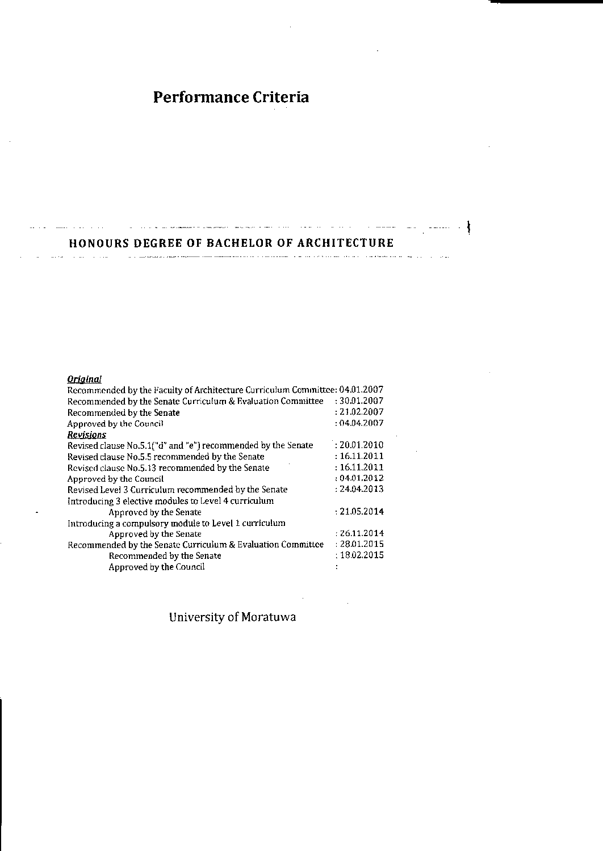# Performance Criteria

#### HONOURS DEGREE OF BACHELOR OF ARCHITECTURE

and the company of the company was administrative and anti-company of the company of the company of the company of the company of the company of the company of the company of the company of the company of the company of th

 $\mathcal{L}_{\text{max}}$  and a community component weak energy constraints to the contract of the community space of  $\mathcal{L}_{\text{max}}$ 

#### **Original**

المنافس والمتسوء المستوات

 $\sim$   $\sim$ 

| Recommended by the Faculty of Architecture Curriculum Committee: 04.01.2007 |              |
|-----------------------------------------------------------------------------|--------------|
| Recommended by the Senate Curriculum & Evaluation Committee                 | : 30.01.2007 |
| Recommended by the Senate                                                   | : 21.02.2007 |
| Approved by the Council                                                     | : 04.04.2007 |
| Revisions                                                                   |              |
| Revised clause No.5.1("d" and "e") recommended by the Senate                | : 20.01.2010 |
| Revised clause No.5.5 recommended by the Senate                             | : 16.11.2011 |
| Revised clause No.5.13 recommended by the Senate                            | : 16.11.2011 |
| Approved by the Council                                                     | : 04.01.2012 |
| Revised Level 3 Curriculum recommended by the Senate                        | : 24.04.2013 |
| Introducing 3 elective modules to Level 4 curriculum                        |              |
| Approved by the Senate                                                      | : 21.05.2014 |
| Introducing a compulsory module to Level 1 curriculum                       |              |
| Approved by the Senate                                                      | : 26.11.2014 |
| Recommended by the Senate Curriculum & Evaluation Committee                 | : 28.01.2015 |
| Recommended by the Senate                                                   | :18.02.2015  |
| Approved by the Council                                                     |              |

# University of Moratuwa

 $\sim 10$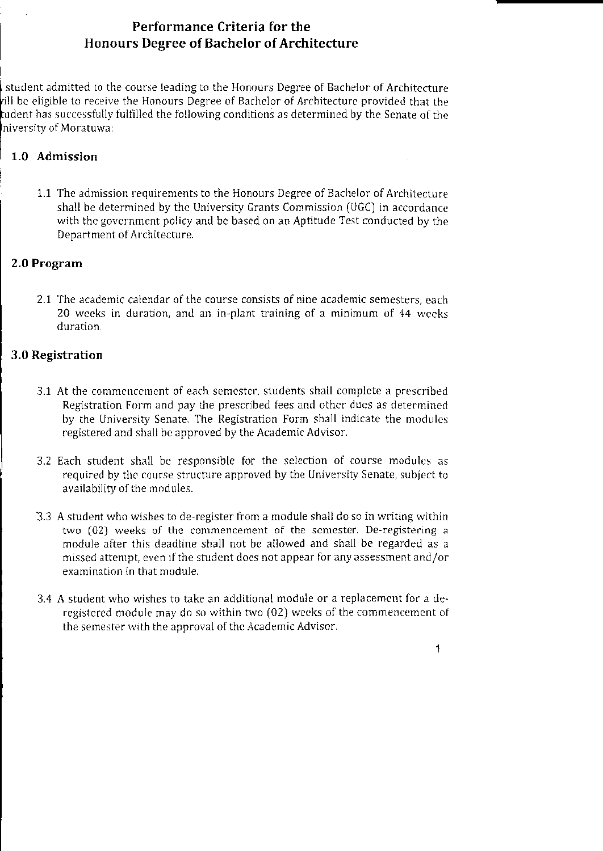## Performance Criteria for the **Honours Degree of Bachelor of Architecture**

student admitted to the course leading to the Honours Degree of Bachelor of Architecture vill be eligible to receive the Honours Degree of Bachelor of Architecture provided that the tudent has successfully fulfilled the following conditions as determined by the Senate of the niversity of Moratuwa:

## 1.0 Admission

1.1 The admission requirements to the Honours Degree of Bachelor of Architecture shall be determined by the University Grants Commission (UGC) in accordance with the government policy and be based on an Aptitude Test conducted by the Department of Architecture.

## 2.0 Program

2.1 The academic calendar of the course consists of nine academic semesters, each 20 weeks in duration, and an in-plant training of a minimum of 44 weeks duration.

## 3.0 Registration

- 3.1 At the commencement of each semester, students shall complete a prescribed Registration Form and pay the prescribed fees and other dues as determined by the University Senate. The Registration Form shall indicate the modules registered and shall be approved by the Academic Advisor.
- 3.2 Each student shall be responsible for the selection of course modules as required by the course structure approved by the University Senate, subject to availability of the modules.
- 3.3 A student who wishes to de-register from a module shall do so in writing within two (02) weeks of the commencement of the semester. De-registering a module after this deadline shall not be allowed and shall be regarded as a missed attempt, even if the student does not appear for any assessment and/or examination in that module.
- 3.4 A student who wishes to take an additional module or a replacement for a deregistered module may do so within two (02) weeks of the commencement of the semester with the approval of the Academic Advisor.

 $\overline{\mathbf{1}}$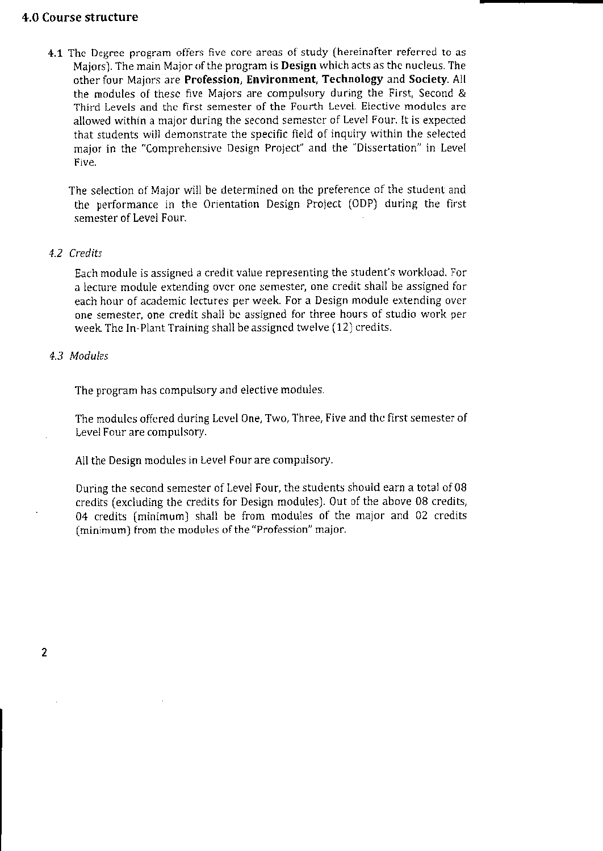## 4.0 Course structure

4.1 The Degree program offers five core areas of study (hereinafter referred to as Majors). The main Major of the program is **Design** which acts as the nucleus. The other four Majors are Profession, Environment, Technology and Society. All the modules of these five Majors are compulsory during the First, Second & Third Levels and the first semester of the Fourth Level. Elective modules are allowed within a major during the second semester of Level Four. It is expected that students will demonstrate the specific field of inquiry within the selected major in the "Comprehensive Design Project" and the "Dissertation" in Level Five.

The selection of Maior will be determined on the preference of the student and the performance in the Orientation Design Project (ODP) during the first semester of Level Four.

#### 4.2 Credits

Each module is assigned a credit value representing the student's workload. For a lecture module extending over one semester, one credit shall be assigned for each hour of academic lectures per week. For a Design module extending over one semester, one credit shall be assigned for three hours of studio work per week. The In-Plant Training shall be assigned twelve (12) credits.

#### 4.3 Modules

The program has compulsory and elective modules.

The modules offered during Level One, Two, Three, Five and the first semester of Level Four are compulsory.

All the Design modules in Level Four are compulsory.

During the second semester of Level Four, the students should earn a total of 08 credits (excluding the credits for Design modules). Out of the above 08 credits, 04 credits (minimum) shall be from modules of the major and 02 credits (minimum) from the modules of the "Profession" major.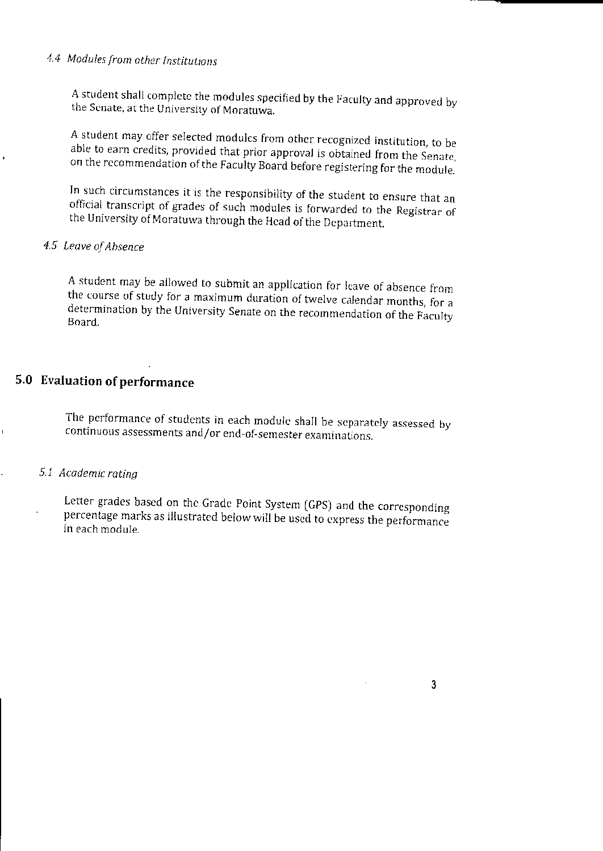# 4.4 Modules from other Institutions

A student shall complete the modules specified by the Faculty and approved by the Senate, at the University of Moratuwa.

A student may offer selected modules from other recognized institution, to be able to earn credits, provided that prior approval is obtained from the Senate, on the recommendation of the Faculty Board before registering for the module.

In such circumstances it is the responsibility of the student to ensure that an official transcript of grades of such modules is forwarded to the Registrar of the University of Moratuwa through the Head of the Department.

## 4.5 Leave of Absence

A student may be allowed to submit an application for leave of absence from the course of study for a maximum duration of twelve calendar months, for a determination by the University Senate on the recommendation of the Faculty **Board** 

# 5.0 Evaluation of performance

The performance of students in each module shall be separately assessed by continuous assessments and/or end-of-semester examinations.

## 5.1 Academic ratina

Letter grades based on the Grade Point System (GPS) and the corresponding percentage marks as illustrated below will be used to express the performance in each module.

3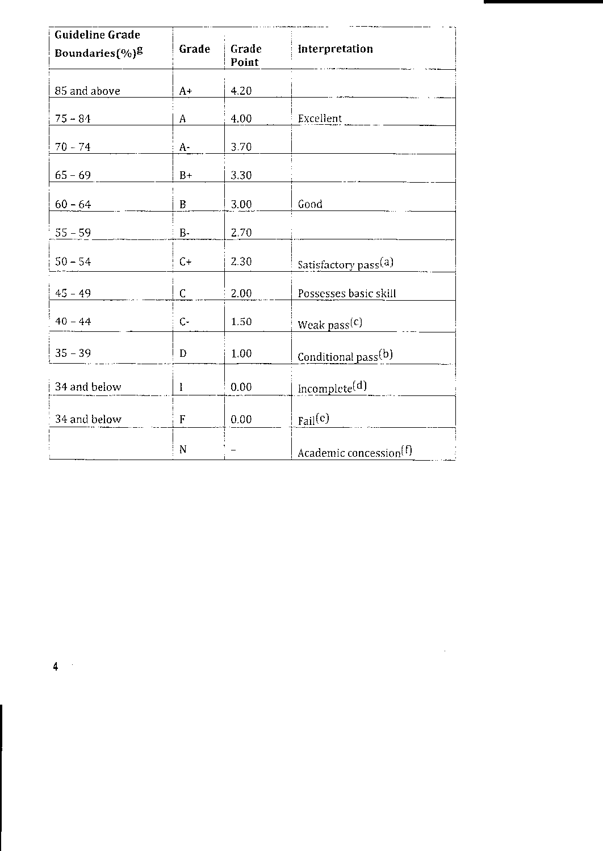| <b>Guideline Grade</b> |           |                |                                    |
|------------------------|-----------|----------------|------------------------------------|
| Boundaries $(\%)^g$    | Grade     | Grade<br>Point | Interpretation                     |
| 85 and above           | $A+$      | 4.20           |                                    |
| $75 - 84$              | Α         | 4.00           | Excellent                          |
| $70 - 74$              | A-        | 3.70           |                                    |
| $65 - 69$              | $B+$      | 3.30           |                                    |
| $60 - 64$              | B         | 3.00           | Good                               |
| $55 - 59$              | $\rm B$ - | 2.70           |                                    |
| $50 - 54$              | $C+$      | 2.30           | Satisfactory pass <sup>(a)</sup>   |
| $45 - 49$              | C         | 2.00           | Possesses basic skill              |
| $40 - 44$              | $C -$     | 1.50           | Weak pass <sup>(c)</sup>           |
| $35 - 39$              | D         | 1.00           | Conditional pass <sup>(b)</sup>    |
| 34 and below           | l         | 0.00           | Incomplete <sup>(d)</sup>          |
| 34 and below           | F         | 0.00           | $_{\rm{fail}}(c)$                  |
|                        | N         |                | Academic concession <sup>(f)</sup> |

 $\frac{4}{3}$ 

 $\label{eq:2.1} \frac{1}{\sqrt{2}}\int_{\mathbb{R}^3}\frac{1}{\sqrt{2}}\left(\frac{1}{\sqrt{2}}\right)^2\frac{1}{\sqrt{2}}\left(\frac{1}{\sqrt{2}}\right)^2\frac{1}{\sqrt{2}}\left(\frac{1}{\sqrt{2}}\right)^2.$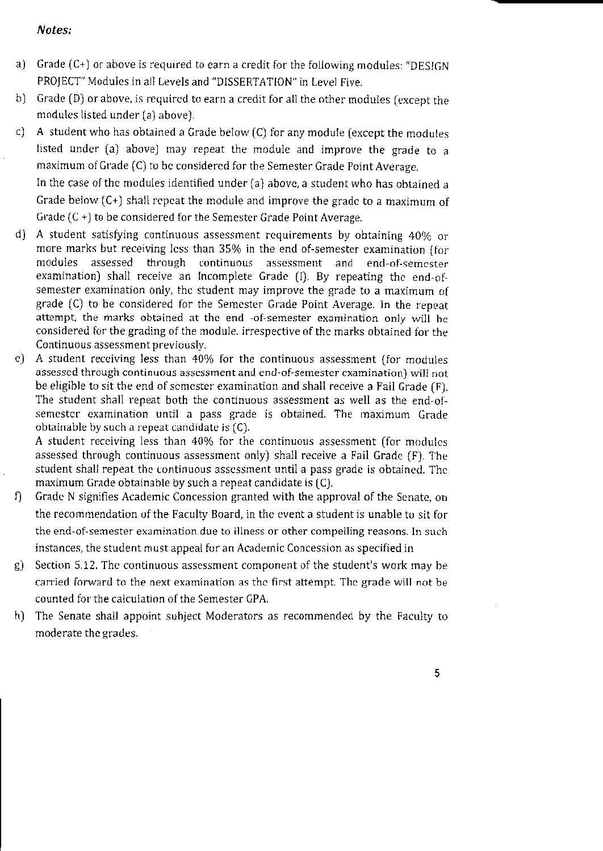### Notes:

- a) Grade (C+) or above is required to earn a credit for the following modules: "DESIGN PROJECT" Modules in all Levels and "DISSERTATION" in Level Five.
- b) Grade (D) or above, is required to earn a credit for all the other modules (except the modules listed under (a) above).
- .l A student who has obtained a Grade below  $(C)$  for any module (except the modules listed under (a) above) may repeat the module and improve the grade to a maximum of Grade (C) to be considered for the Semester Grade Point Average.

In the case of the modules identified under  $(a)$  above, a student who has obtained a Grade below  $(C<sub>+</sub>)$  shall repeat the module and improve the grade to a maximum of Grade  $(C +)$  to be considered for the Semester Grade Point Average.

- d) A student satisfying continuous assessment requirements by obtaining 40% or more marks but receiving less than 35% in the end of-semester examination {for modules assessed through continuous assessment and end-of-semester examination) shall receive an Incomplete Grade  $\{I\}$ . By repeating the end-ofsemester examination only, the student may improve the grade to a maximum of grade [C] to be considered for the Semcster Grade Point Average. In the repear attempt, the marks obtained at the end -of-semester examination only will be considered for the grading of the module. irrespective of the marks obtained for the Continuous assessment previously.
- c) A student receiving less than 40% for the continuous assessment (for modules assessed through continuous assessment and end-of-semester examination) will not be eligible to sit the end of semester examination and shall receive a Fail Grade  $(F)$ . The student shall repeat both the continuous assessment as well as the end-ofsemester examination until a pass grade is obtained. The maximum Grade obtainable by such a repeat candidate is  $(C)$ .

A student receiving less than 40% for the continuous assessment (for modules assessed through continuous assessment only) shall receive a Fail Grade (F). The student shall repeat the continuous assessment until a pass grade is obtained. The maximum Grade obtainable by such a repeat candidate is [C].

- f) Grade N signifies Academic Concession granted with the approval of the Senate, on the recommendation of the Faculty Board, in the event a student is unable to sit for the end-of-semester examination due to illness or other compelling reasons. In such instances, the student must appeal for an Academic Concession as specified in
- g) Section 5.12. The continuous assessment component of the student's work may be carried forward to the next examination as the first attempt. The grade will not be counted for the calculation of the Semester GPA.
- h) The Senate shall appoint subject Moderators as recommended by the Faculty to moderate the grades.

5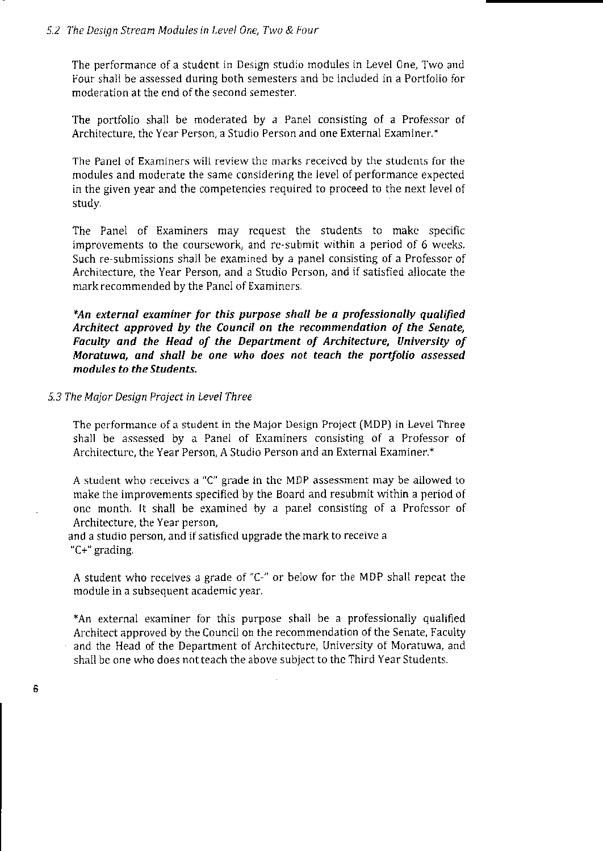The performance of a student in Design studio modules in Level One, Two and Four shall be assessed during both semesters and be included in a Portfolio for moderation at the end of the second semester.

The portfolio shall be moderated by a Panel consisting of a Professor of Architecture, the Year Person, a Studio Person and one External Examiner.\*

The Panel of Examiners will review the marks received by the students for the modules and moderate the same considering the level of performance expected in the given year and the competencies required to proceed to the next level of study.

The Panel of Examiners may request the students to make specific improvements to the coursework, and re-submit within a period of 6 weeks. Such re-submissions shall be examined by a panel consisting of a Professor of Architecture, the Year Person, and a Studio Person, and if satisfied allocate the mark recommended by the Panel of Examiners.

\*An external examiner for this purpose shall be a professionally qualified Architect approved by the Council on the recommendation of the Senate, Faculty and the Head of the Department of Architecture, University of Moratuwa, and shall be one who does not teach the portfolio assessed modules to the Students.

#### 5.3 The Major Design Project in Level Three

6

The performance of a student in the Major Design Project (MDP) in Level Three shall be assessed by a Panel of Examiners consisting of a Professor of Architecture, the Year Person, A Studio Person and an External Examiner.\*

A student who receives a "C" grade in the MDP assessment may be allowed to make the improvements specified by the Board and resubmit within a period of one month. It shall be examined by a panel consisting of a Professor of Architecture, the Year person,

and a studio person, and if satisfied upgrade the mark to receive a "C+" grading.

A student who receives a grade of "C-" or below for the MDP shall repeat the module in a subsequent academic year.

\*An external examiner for this purpose shall be a professionally qualified Architect approved by the Council on the recommendation of the Senate, Faculty and the Head of the Department of Architecture, University of Moratuwa, and shall be one who does not teach the above subject to the Third Year Students.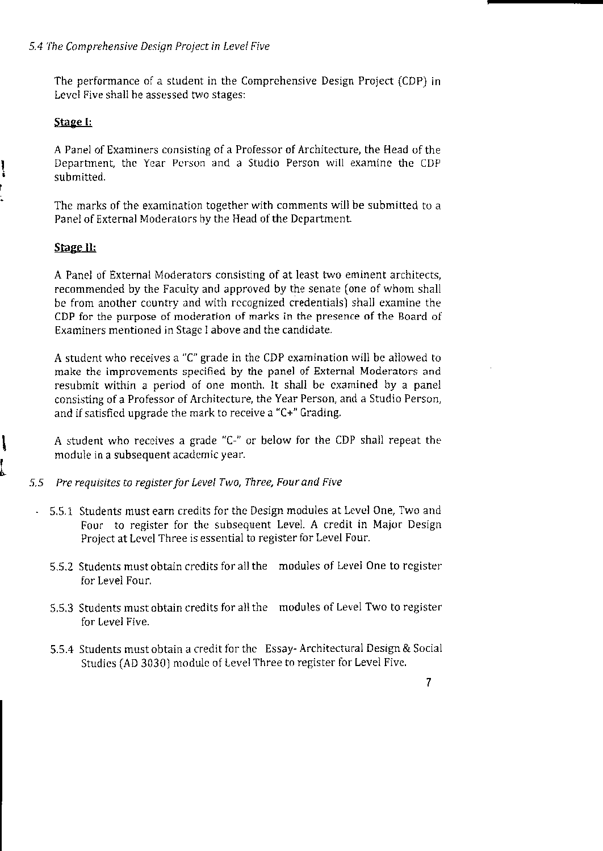The performance of a student in the Comprehensive Design Project (CDP) in Level Five shall be assessed two stages:

## Stage I:

A Panel of Examiners consisting of a Professor of Architecture, the Head of the Department, the Year Person and a Studio Person will examine the CDP submitted.

The marks of the examination together with comments will be submitted to a Panel of External Moderators by the Head of the Department.

## Stage II:

A Panel of External Moderators consisting of at least two eminent architects, recommended by the Faculty and approved by the senate (one of whom shall be from another country and with recognized credentials) shall examine the CDP for the purpose of moderation of marks in the presence of the Board of Examiners mentioned in Stage I above and the candidate.

A student who receives a "C" grade in the CDP examination will be allowed to make the improvements specified by the panel of External Moderators and resubmit within a period of one month. It shall be examined by a panel consisting of a Professor of Architecture, the Year Person, and a Studio Person, and if satisfied upgrade the mark to receive a "C+" Grading.

A student who receives a grade "C-" or below for the CDP shall repeat the module in a subsequent academic year.

- Pre requisites to register for Level Two, Three, Four and Five  $5,5$ 
	- 5.5.1 Students must earn credits for the Design modules at Level One, Two and Four to register for the subsequent Level. A credit in Major Design Project at Level Three is essential to register for Level Four.
	- 5.5.2 Students must obtain credits for all the modules of Level One to register for Level Four.
	- 5.5.3 Students must obtain credits for all the modules of Level Two to register for Level Five.
	- 5.5.4 Students must obtain a credit for the Essay-Architectural Design & Social Studies (AD 3030) module of Level Three to register for Level Five.

 $\overline{7}$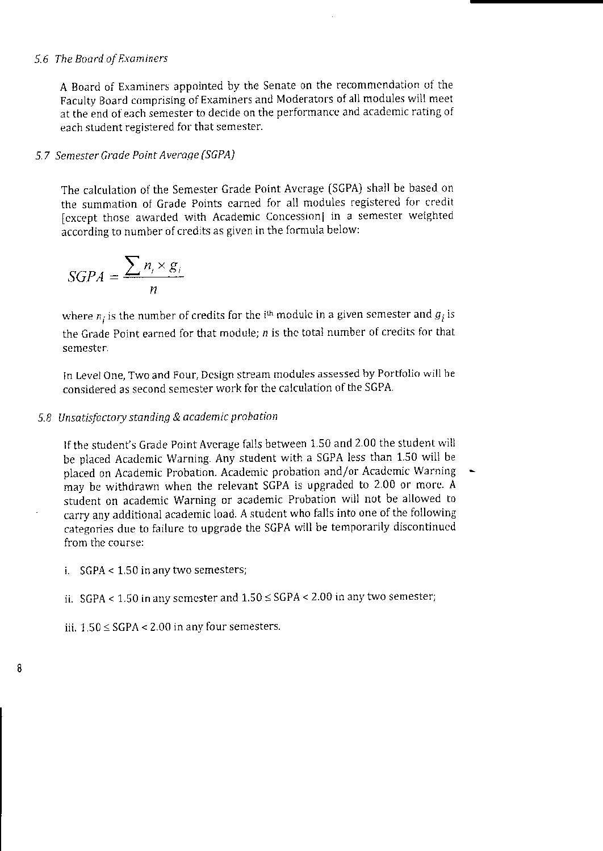## 5.6 The Board of Examiners

A Board of Examiners appointed by the Senate on the recommendation of the Faculty Board comprising of Examiners and Moderators of all modules will meet at the end of each semester to decide on the performance and academic rating of each student registered for that semester.

## 5.7 Semester Grade Point Average (SGPA)

The calculation of the Semester Grade Point Average (SGPA) shall be based on the summation of Grade Points earned for all modules registered for credit [except those awarded with Academic Concession] in a semester weighted according to number of credits as given in the formula below:

$$
SGPA = \frac{\sum n_i \times g_i}{n}
$$

where  $n_i$  is the number of credits for the i<sup>th</sup> module in a given semester and  $g_i$  is the Grade Point earned for that module:  $n$  is the total number of credits for that semester.

In Level One, Two and Four, Design stream modules assessed by Portfolio will be considered as second semester work for the calculation of the SGPA.

## 5.8 Unsatisfactory standing & academic probation

If the student's Grade Point Average falls between 1.50 and 2.00 the student will be placed Academic Warning. Any student with a SGPA less than 1.50 will be placed on Academic Probation. Academic probation and/or Academic Warning may be withdrawn when the relevant SGPA is upgraded to 2.00 or more. A student on academic Warning or academic Probation will not be allowed to carry any additional academic load. A student who falls into one of the following categories due to failure to upgrade the SGPA will be temporarily discontinued from the course:

i.  $SGPA < 1.50$  in any two semesters;

ii. SGPA < 1.50 in any semester and  $1.50 \leq$  SGPA < 2.00 in any two semester;

iii.  $1.50 \leq$  SGPA < 2.00 in any four semesters.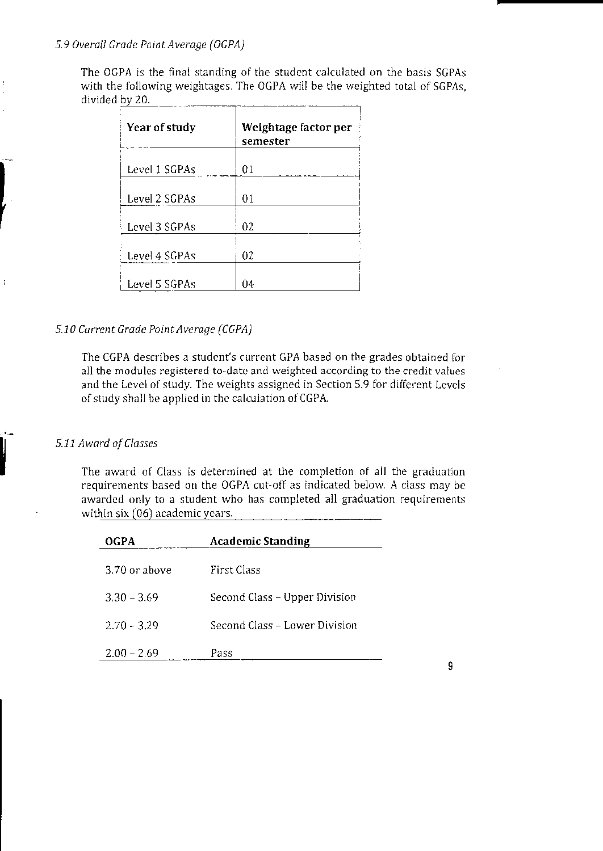#### 5.9 Overall Grade Point Average (OGPA)

The OGPA is the final standing of the student calculated on the basis SGPAs with the following weightages. The OGPA will be the weighted total of SGPAs. divided by 20.

| Year of study | Weightage factor per<br>semester |
|---------------|----------------------------------|
| Level 1 SGPAs | 01                               |
| Level 2 SGPAs | 01                               |
| Level 3 SGPAs | 02                               |
| Level 4 SGPAs | 02                               |
| Level 5 SGPAs | 04                               |

## 5.10 Current Grade Point Average (CGPA)

The CGPA describes a student's current GPA based on the grades obtained for all the modules registered to-date and weighted according to the credit values and the Level of study. The weights assigned in Section 5.9 for different Levels of study shall be applied in the calculation of CGPA.

#### 5.11 Award of Classes

 $\ddot{1}$ 

The award of Class is determined at the completion of all the graduation requirements based on the OGPA cut-off as indicated below. A class may be awarded only to a student who has completed all graduation requirements within six (06) academic years.

| <b>OGPA</b>   | <b>Academic Standing</b>      |
|---------------|-------------------------------|
| 3.70 or above | First Class                   |
| $3.30 - 3.69$ | Second Class – Upper Division |
| $2.70 - 3.29$ | Second Class – Lower Division |
| $2.00 - 2.69$ | Pass                          |

g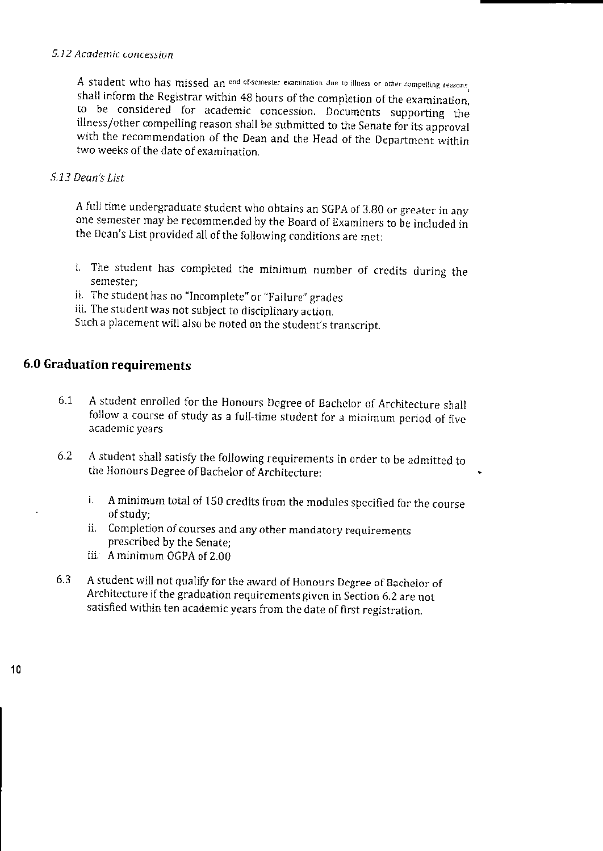## 5.12 Academic concession

A student who has missed an end of-semester examination due to illness or other compelling reasons. shall inform the Registrar within 48 hours of the completion of the examination. to be considered for academic concession. Documents supporting the illness/other compelling reason shall be submitted to the Senate for its approval with the recommendation of the Dean and the Head of the Department within two weeks of the date of examination.

## 5.13 Dean's List

A full time undergraduate student who obtains an SGPA of 3.80 or greater in any one semester may be recommended by the Board of Examiners to be included in the Dean's List provided all of the following conditions are met:

- i. The student has completed the minimum number of credits during the semester:
- ii. The student has no "Incomplete" or "Failure" grades
- iii. The student was not subject to disciplinary action.

Such a placement will also be noted on the student's transcript.

## 6.0 Graduation requirements

- $6.1$ A student enrolled for the Honours Degree of Bachelor of Architecture shall follow a course of study as a full-time student for a minimum period of five academic vears
- 6.2 A student shall satisfy the following requirements in order to be admitted to the Honours Degree of Bachelor of Architecture:
	- A minimum total of 150 credits from the modules specified for the course i. of study:
	- ii. Completion of courses and any other mandatory requirements prescribed by the Senate;
	- iii. A minimum OGPA of 2.00
- $6.3$ A student will not qualify for the award of Honours Degree of Bachelor of Architecture if the graduation requirements given in Section 6.2 are not satisfied within ten academic years from the date of first registration.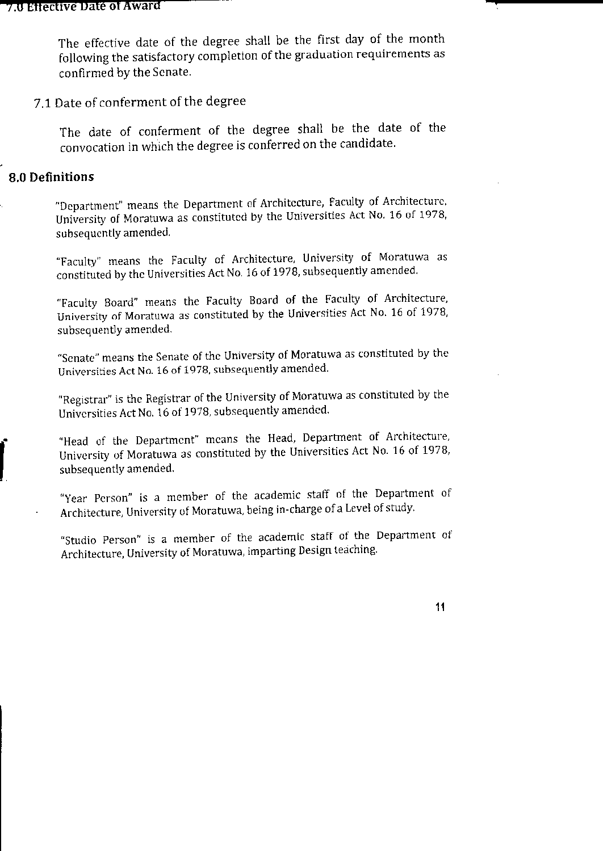The effective date of the degree shall be the first day of the month following the satisfactory completion of the graduation requirements as confirmed by the Senate.

# 7.1 Date of conferment of the degree

The date of conferment of the degree shall be the date of the convocation in which the degree is conferred on the candidate.

## 8.0 Definitions

"Department" means the Department of Architecture, Faculty of Architecture. University of Moratuwa as constituted by the Universities Act No. 16 of 1978, subsequently amended.

"Faculty" means the Faculty of Architecture, University of Moratuwa as constituted by the Universities Act No. 16 of 1978, subsequently amended.

"Faculty Board" means the Faculty Board of the Faculty of Architecture, University of Moratuwa as constituted by the Universities Act No. 16 of 1978, subsequently amended.

"Senate" means the Senate of the University of Moratuwa as constituted by the Universities Act No. 16 of 1978, subsequently amended.

"Registrar" is the Registrar of the University of Moratuwa as constituted by the Universities Act No. 16 of 1978, subsequently amended.

"Head of the Department" means the Head, Department of Architecture, University of Moratuwa as constituted by the Universities Act No. 16 of 1978, subsequently amended.

"Year Person" is a member of the academic staff of the Department of Architecture, University of Moratuwa, being in-charge of a Level of study.

"Studio Person" is a member of the academic staff of the Department of Architecture, University of Moratuwa, imparting Design teaching.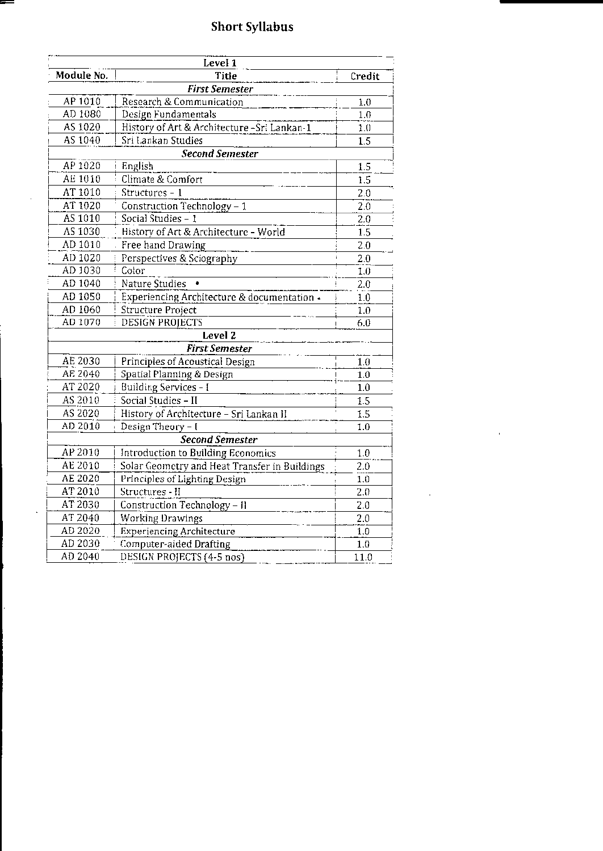# **Short Syllabus**

=

 $\bar{\beta}$ 

 $\ddot{\phantom{a}}$ 

| Level 1    |                                               |                  |
|------------|-----------------------------------------------|------------------|
| Module No. | Title                                         | Credit           |
|            | <b>First Semester</b>                         |                  |
| AP 1010    | Research & Communication                      | 1.0              |
| AD 1080    | Design Fundamentals                           | 1.0              |
| AS 1020    | History of Art & Architecture - Sri Lankan-1  | 1.0              |
| AS 1040    | Sri Lankan Studies                            | 1.5              |
|            | <b>Second Semester</b>                        |                  |
| AP 1020    | English                                       | 1.5              |
| AE 1010    | Climate & Comfort                             | 1.5              |
| AT 1010    | Structures - 1                                | 2.0              |
| AT 1020    | Construction Technology - 1                   | 2.0              |
| AS 1010    | Social Studies - 1                            | 2.0              |
| AS 1030    | History of Art & Architecture - World         | 1.5              |
| AD 1010    | Free hand Drawing                             | 2.0              |
| AD 1020    | Perspectives & Sciography                     | 2.0              |
| AD 1030    | Color                                         | 1.0              |
| AD 1040    | Nature Studies                                | $\overline{2.0}$ |
| AD 1050    | Experiencing Architecture & documentation -   | 1.0              |
| AD 1060    | Structure Project                             | 1.0              |
| AD 1070    | <b>DESIGN PROJECTS</b>                        | 6.0              |
|            | Level <sub>2</sub>                            |                  |
|            | <b>First Semester</b>                         |                  |
| AE 2030    | Principles of Acoustical Design               | 1.0              |
| AE 2040    | Spatial Planning & Design                     | 1.0              |
| AT 2020    | Building Services - I                         | 1.0              |
| AS 2010    | Social Studies - II                           | 1.5              |
| AS 2020    | History of Architecture - Sri Lankan II       | 1.5              |
| AD 2010    | Design Theory - I                             | 1.0              |
|            | <b>Second Semester</b>                        |                  |
| AP 2010    | Introduction to Building Economics            | 1.0              |
| AE 2010    | Solar Geometry and Heat Transfer in Buildings | 2.0              |
| AE 2020    | Principles of Lighting Design                 | 1.0              |
| AT 2010    | Structures - H                                | 2.0              |
| AT 2030    | Construction Technology - Il                  | 2.0              |
| AT 2040    | Working Drawings                              | 2.0              |
| AD 2020    | <b>Experiencing Architecture</b>              | 1.0              |
| AD 2030    | Computer-aided Drafting                       | 1.0              |
| AD 2040    | DESIGN PROJECTS (4-5 nos)                     | 11.0             |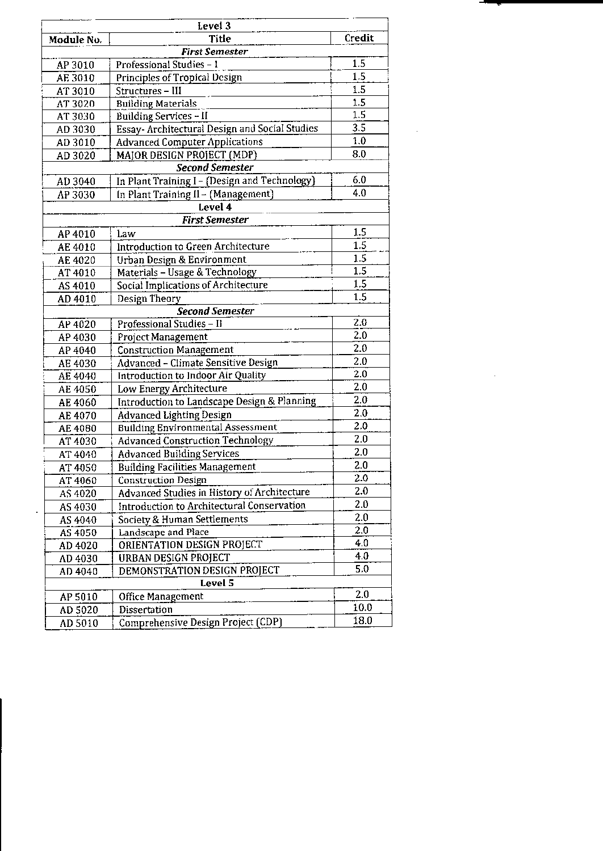| Credit<br>Title<br><b>First Semester</b><br>1.5<br>Professional Studies - 1<br>AP 3010<br>1.5<br><b>Principles of Tropical Design</b><br>AE 3010<br>1.5<br>Structures - III<br>AT 3010<br>1.5<br><b>Building Materials</b><br>AT 3020<br>1.5<br><b>Building Services - II</b><br>AT 3030<br>$\overline{3.5}$<br>Essay- Architectural Design and Social Studies<br>AD 3030<br>1.0<br><b>Advanced Computer Applications</b><br>AD 3010<br>8.0<br>MAJOR DESIGN PROJECT (MDP)<br>AD 3020<br>Second Semester<br>6.0<br>In Plant Training I - (Design and Technology)<br>AD 3040<br>4.0<br>In Plant Training II - (Management)<br>AP 3030<br>Level 4<br>First Semester<br>1.5<br>Law<br>AP 4010<br>$\overline{1.5}$<br>Introduction to Green Architecture<br>AE 4010<br>1.5<br>Urban Design & Environment<br>AE 4020<br>1.5<br>Materials - Usage & Technology<br>AT 4010<br>$1.5\,$<br>Social Implications of Architecture<br>AS 4010<br>1.5<br>AD 4010<br>Design Theory<br><b>Second Semester</b><br>2.0<br>Professional Studies - Il<br>AP 4020<br>2.0<br>AP 4030<br>Project Management<br>2.0<br><b>Construction Management</b><br>AP 4040<br>2.0<br><b>Advanced - Climate Sensitive Design</b><br>AE 4030<br>2.0<br>Introduction to Indoor Air Quality<br>AE 4040<br>2.0<br>Low Energy Architecture<br>AE 4050<br>2.0<br>Introduction to Landscape Design & Planning<br>AE 4060<br>$\overline{2.0}$<br><b>Advanced Lighting Design</b><br>AE 4070<br>2.0<br><b>Building Environmental Assessment</b><br>AE 4080<br>2.0<br><b>Advanced Construction Technology</b><br>AT 4030<br>2.0<br><b>Advanced Building Services</b><br>AT 4040<br>2.0<br><b>Building Facilities Management</b><br>AT 4050<br>$\overline{2.0}$<br>Construction Design<br>AT 4060<br>2.0<br>Advanced Studies in History of Architecture<br>AS 4020<br>2.0<br>Introduction to Architectural Conservation<br>AS 4030<br>2.0<br>Society & Human Settlements<br>AS 4040<br>2.0<br>Landscape and Place<br>AS 4050<br>4.0<br>ORIENTATION DESIGN PROJECT<br>AD 4020<br>4.0<br><b>URBAN DESIGN PROJECT</b><br>AD 4030<br>$\overline{5.0}$<br>DEMONSTRATION DESIGN PROJECT<br>AD 4040<br>Level 5<br>2.0<br>Office Management<br>AP 5010<br>10.0<br>Dissertation<br>AD 5020<br>18.0 | Level <sub>3</sub> |                                    |  |  |
|--------------------------------------------------------------------------------------------------------------------------------------------------------------------------------------------------------------------------------------------------------------------------------------------------------------------------------------------------------------------------------------------------------------------------------------------------------------------------------------------------------------------------------------------------------------------------------------------------------------------------------------------------------------------------------------------------------------------------------------------------------------------------------------------------------------------------------------------------------------------------------------------------------------------------------------------------------------------------------------------------------------------------------------------------------------------------------------------------------------------------------------------------------------------------------------------------------------------------------------------------------------------------------------------------------------------------------------------------------------------------------------------------------------------------------------------------------------------------------------------------------------------------------------------------------------------------------------------------------------------------------------------------------------------------------------------------------------------------------------------------------------------------------------------------------------------------------------------------------------------------------------------------------------------------------------------------------------------------------------------------------------------------------------------------------------------------------------------------------------------------------------------------------------------------------------------------------------------------------------------|--------------------|------------------------------------|--|--|
|                                                                                                                                                                                                                                                                                                                                                                                                                                                                                                                                                                                                                                                                                                                                                                                                                                                                                                                                                                                                                                                                                                                                                                                                                                                                                                                                                                                                                                                                                                                                                                                                                                                                                                                                                                                                                                                                                                                                                                                                                                                                                                                                                                                                                                            | Module No.         |                                    |  |  |
|                                                                                                                                                                                                                                                                                                                                                                                                                                                                                                                                                                                                                                                                                                                                                                                                                                                                                                                                                                                                                                                                                                                                                                                                                                                                                                                                                                                                                                                                                                                                                                                                                                                                                                                                                                                                                                                                                                                                                                                                                                                                                                                                                                                                                                            |                    |                                    |  |  |
|                                                                                                                                                                                                                                                                                                                                                                                                                                                                                                                                                                                                                                                                                                                                                                                                                                                                                                                                                                                                                                                                                                                                                                                                                                                                                                                                                                                                                                                                                                                                                                                                                                                                                                                                                                                                                                                                                                                                                                                                                                                                                                                                                                                                                                            |                    |                                    |  |  |
|                                                                                                                                                                                                                                                                                                                                                                                                                                                                                                                                                                                                                                                                                                                                                                                                                                                                                                                                                                                                                                                                                                                                                                                                                                                                                                                                                                                                                                                                                                                                                                                                                                                                                                                                                                                                                                                                                                                                                                                                                                                                                                                                                                                                                                            |                    |                                    |  |  |
|                                                                                                                                                                                                                                                                                                                                                                                                                                                                                                                                                                                                                                                                                                                                                                                                                                                                                                                                                                                                                                                                                                                                                                                                                                                                                                                                                                                                                                                                                                                                                                                                                                                                                                                                                                                                                                                                                                                                                                                                                                                                                                                                                                                                                                            |                    |                                    |  |  |
|                                                                                                                                                                                                                                                                                                                                                                                                                                                                                                                                                                                                                                                                                                                                                                                                                                                                                                                                                                                                                                                                                                                                                                                                                                                                                                                                                                                                                                                                                                                                                                                                                                                                                                                                                                                                                                                                                                                                                                                                                                                                                                                                                                                                                                            |                    |                                    |  |  |
|                                                                                                                                                                                                                                                                                                                                                                                                                                                                                                                                                                                                                                                                                                                                                                                                                                                                                                                                                                                                                                                                                                                                                                                                                                                                                                                                                                                                                                                                                                                                                                                                                                                                                                                                                                                                                                                                                                                                                                                                                                                                                                                                                                                                                                            |                    |                                    |  |  |
|                                                                                                                                                                                                                                                                                                                                                                                                                                                                                                                                                                                                                                                                                                                                                                                                                                                                                                                                                                                                                                                                                                                                                                                                                                                                                                                                                                                                                                                                                                                                                                                                                                                                                                                                                                                                                                                                                                                                                                                                                                                                                                                                                                                                                                            |                    |                                    |  |  |
|                                                                                                                                                                                                                                                                                                                                                                                                                                                                                                                                                                                                                                                                                                                                                                                                                                                                                                                                                                                                                                                                                                                                                                                                                                                                                                                                                                                                                                                                                                                                                                                                                                                                                                                                                                                                                                                                                                                                                                                                                                                                                                                                                                                                                                            |                    |                                    |  |  |
|                                                                                                                                                                                                                                                                                                                                                                                                                                                                                                                                                                                                                                                                                                                                                                                                                                                                                                                                                                                                                                                                                                                                                                                                                                                                                                                                                                                                                                                                                                                                                                                                                                                                                                                                                                                                                                                                                                                                                                                                                                                                                                                                                                                                                                            |                    |                                    |  |  |
|                                                                                                                                                                                                                                                                                                                                                                                                                                                                                                                                                                                                                                                                                                                                                                                                                                                                                                                                                                                                                                                                                                                                                                                                                                                                                                                                                                                                                                                                                                                                                                                                                                                                                                                                                                                                                                                                                                                                                                                                                                                                                                                                                                                                                                            |                    |                                    |  |  |
|                                                                                                                                                                                                                                                                                                                                                                                                                                                                                                                                                                                                                                                                                                                                                                                                                                                                                                                                                                                                                                                                                                                                                                                                                                                                                                                                                                                                                                                                                                                                                                                                                                                                                                                                                                                                                                                                                                                                                                                                                                                                                                                                                                                                                                            |                    |                                    |  |  |
|                                                                                                                                                                                                                                                                                                                                                                                                                                                                                                                                                                                                                                                                                                                                                                                                                                                                                                                                                                                                                                                                                                                                                                                                                                                                                                                                                                                                                                                                                                                                                                                                                                                                                                                                                                                                                                                                                                                                                                                                                                                                                                                                                                                                                                            |                    |                                    |  |  |
|                                                                                                                                                                                                                                                                                                                                                                                                                                                                                                                                                                                                                                                                                                                                                                                                                                                                                                                                                                                                                                                                                                                                                                                                                                                                                                                                                                                                                                                                                                                                                                                                                                                                                                                                                                                                                                                                                                                                                                                                                                                                                                                                                                                                                                            |                    |                                    |  |  |
|                                                                                                                                                                                                                                                                                                                                                                                                                                                                                                                                                                                                                                                                                                                                                                                                                                                                                                                                                                                                                                                                                                                                                                                                                                                                                                                                                                                                                                                                                                                                                                                                                                                                                                                                                                                                                                                                                                                                                                                                                                                                                                                                                                                                                                            |                    |                                    |  |  |
|                                                                                                                                                                                                                                                                                                                                                                                                                                                                                                                                                                                                                                                                                                                                                                                                                                                                                                                                                                                                                                                                                                                                                                                                                                                                                                                                                                                                                                                                                                                                                                                                                                                                                                                                                                                                                                                                                                                                                                                                                                                                                                                                                                                                                                            |                    |                                    |  |  |
|                                                                                                                                                                                                                                                                                                                                                                                                                                                                                                                                                                                                                                                                                                                                                                                                                                                                                                                                                                                                                                                                                                                                                                                                                                                                                                                                                                                                                                                                                                                                                                                                                                                                                                                                                                                                                                                                                                                                                                                                                                                                                                                                                                                                                                            |                    |                                    |  |  |
|                                                                                                                                                                                                                                                                                                                                                                                                                                                                                                                                                                                                                                                                                                                                                                                                                                                                                                                                                                                                                                                                                                                                                                                                                                                                                                                                                                                                                                                                                                                                                                                                                                                                                                                                                                                                                                                                                                                                                                                                                                                                                                                                                                                                                                            |                    |                                    |  |  |
|                                                                                                                                                                                                                                                                                                                                                                                                                                                                                                                                                                                                                                                                                                                                                                                                                                                                                                                                                                                                                                                                                                                                                                                                                                                                                                                                                                                                                                                                                                                                                                                                                                                                                                                                                                                                                                                                                                                                                                                                                                                                                                                                                                                                                                            |                    |                                    |  |  |
|                                                                                                                                                                                                                                                                                                                                                                                                                                                                                                                                                                                                                                                                                                                                                                                                                                                                                                                                                                                                                                                                                                                                                                                                                                                                                                                                                                                                                                                                                                                                                                                                                                                                                                                                                                                                                                                                                                                                                                                                                                                                                                                                                                                                                                            |                    |                                    |  |  |
|                                                                                                                                                                                                                                                                                                                                                                                                                                                                                                                                                                                                                                                                                                                                                                                                                                                                                                                                                                                                                                                                                                                                                                                                                                                                                                                                                                                                                                                                                                                                                                                                                                                                                                                                                                                                                                                                                                                                                                                                                                                                                                                                                                                                                                            |                    |                                    |  |  |
|                                                                                                                                                                                                                                                                                                                                                                                                                                                                                                                                                                                                                                                                                                                                                                                                                                                                                                                                                                                                                                                                                                                                                                                                                                                                                                                                                                                                                                                                                                                                                                                                                                                                                                                                                                                                                                                                                                                                                                                                                                                                                                                                                                                                                                            |                    |                                    |  |  |
|                                                                                                                                                                                                                                                                                                                                                                                                                                                                                                                                                                                                                                                                                                                                                                                                                                                                                                                                                                                                                                                                                                                                                                                                                                                                                                                                                                                                                                                                                                                                                                                                                                                                                                                                                                                                                                                                                                                                                                                                                                                                                                                                                                                                                                            |                    |                                    |  |  |
|                                                                                                                                                                                                                                                                                                                                                                                                                                                                                                                                                                                                                                                                                                                                                                                                                                                                                                                                                                                                                                                                                                                                                                                                                                                                                                                                                                                                                                                                                                                                                                                                                                                                                                                                                                                                                                                                                                                                                                                                                                                                                                                                                                                                                                            |                    |                                    |  |  |
|                                                                                                                                                                                                                                                                                                                                                                                                                                                                                                                                                                                                                                                                                                                                                                                                                                                                                                                                                                                                                                                                                                                                                                                                                                                                                                                                                                                                                                                                                                                                                                                                                                                                                                                                                                                                                                                                                                                                                                                                                                                                                                                                                                                                                                            |                    |                                    |  |  |
|                                                                                                                                                                                                                                                                                                                                                                                                                                                                                                                                                                                                                                                                                                                                                                                                                                                                                                                                                                                                                                                                                                                                                                                                                                                                                                                                                                                                                                                                                                                                                                                                                                                                                                                                                                                                                                                                                                                                                                                                                                                                                                                                                                                                                                            |                    |                                    |  |  |
|                                                                                                                                                                                                                                                                                                                                                                                                                                                                                                                                                                                                                                                                                                                                                                                                                                                                                                                                                                                                                                                                                                                                                                                                                                                                                                                                                                                                                                                                                                                                                                                                                                                                                                                                                                                                                                                                                                                                                                                                                                                                                                                                                                                                                                            |                    |                                    |  |  |
|                                                                                                                                                                                                                                                                                                                                                                                                                                                                                                                                                                                                                                                                                                                                                                                                                                                                                                                                                                                                                                                                                                                                                                                                                                                                                                                                                                                                                                                                                                                                                                                                                                                                                                                                                                                                                                                                                                                                                                                                                                                                                                                                                                                                                                            |                    |                                    |  |  |
|                                                                                                                                                                                                                                                                                                                                                                                                                                                                                                                                                                                                                                                                                                                                                                                                                                                                                                                                                                                                                                                                                                                                                                                                                                                                                                                                                                                                                                                                                                                                                                                                                                                                                                                                                                                                                                                                                                                                                                                                                                                                                                                                                                                                                                            |                    |                                    |  |  |
|                                                                                                                                                                                                                                                                                                                                                                                                                                                                                                                                                                                                                                                                                                                                                                                                                                                                                                                                                                                                                                                                                                                                                                                                                                                                                                                                                                                                                                                                                                                                                                                                                                                                                                                                                                                                                                                                                                                                                                                                                                                                                                                                                                                                                                            |                    |                                    |  |  |
|                                                                                                                                                                                                                                                                                                                                                                                                                                                                                                                                                                                                                                                                                                                                                                                                                                                                                                                                                                                                                                                                                                                                                                                                                                                                                                                                                                                                                                                                                                                                                                                                                                                                                                                                                                                                                                                                                                                                                                                                                                                                                                                                                                                                                                            |                    |                                    |  |  |
|                                                                                                                                                                                                                                                                                                                                                                                                                                                                                                                                                                                                                                                                                                                                                                                                                                                                                                                                                                                                                                                                                                                                                                                                                                                                                                                                                                                                                                                                                                                                                                                                                                                                                                                                                                                                                                                                                                                                                                                                                                                                                                                                                                                                                                            |                    |                                    |  |  |
|                                                                                                                                                                                                                                                                                                                                                                                                                                                                                                                                                                                                                                                                                                                                                                                                                                                                                                                                                                                                                                                                                                                                                                                                                                                                                                                                                                                                                                                                                                                                                                                                                                                                                                                                                                                                                                                                                                                                                                                                                                                                                                                                                                                                                                            |                    |                                    |  |  |
|                                                                                                                                                                                                                                                                                                                                                                                                                                                                                                                                                                                                                                                                                                                                                                                                                                                                                                                                                                                                                                                                                                                                                                                                                                                                                                                                                                                                                                                                                                                                                                                                                                                                                                                                                                                                                                                                                                                                                                                                                                                                                                                                                                                                                                            |                    |                                    |  |  |
|                                                                                                                                                                                                                                                                                                                                                                                                                                                                                                                                                                                                                                                                                                                                                                                                                                                                                                                                                                                                                                                                                                                                                                                                                                                                                                                                                                                                                                                                                                                                                                                                                                                                                                                                                                                                                                                                                                                                                                                                                                                                                                                                                                                                                                            |                    |                                    |  |  |
|                                                                                                                                                                                                                                                                                                                                                                                                                                                                                                                                                                                                                                                                                                                                                                                                                                                                                                                                                                                                                                                                                                                                                                                                                                                                                                                                                                                                                                                                                                                                                                                                                                                                                                                                                                                                                                                                                                                                                                                                                                                                                                                                                                                                                                            |                    |                                    |  |  |
|                                                                                                                                                                                                                                                                                                                                                                                                                                                                                                                                                                                                                                                                                                                                                                                                                                                                                                                                                                                                                                                                                                                                                                                                                                                                                                                                                                                                                                                                                                                                                                                                                                                                                                                                                                                                                                                                                                                                                                                                                                                                                                                                                                                                                                            |                    |                                    |  |  |
|                                                                                                                                                                                                                                                                                                                                                                                                                                                                                                                                                                                                                                                                                                                                                                                                                                                                                                                                                                                                                                                                                                                                                                                                                                                                                                                                                                                                                                                                                                                                                                                                                                                                                                                                                                                                                                                                                                                                                                                                                                                                                                                                                                                                                                            |                    |                                    |  |  |
|                                                                                                                                                                                                                                                                                                                                                                                                                                                                                                                                                                                                                                                                                                                                                                                                                                                                                                                                                                                                                                                                                                                                                                                                                                                                                                                                                                                                                                                                                                                                                                                                                                                                                                                                                                                                                                                                                                                                                                                                                                                                                                                                                                                                                                            |                    |                                    |  |  |
|                                                                                                                                                                                                                                                                                                                                                                                                                                                                                                                                                                                                                                                                                                                                                                                                                                                                                                                                                                                                                                                                                                                                                                                                                                                                                                                                                                                                                                                                                                                                                                                                                                                                                                                                                                                                                                                                                                                                                                                                                                                                                                                                                                                                                                            |                    |                                    |  |  |
|                                                                                                                                                                                                                                                                                                                                                                                                                                                                                                                                                                                                                                                                                                                                                                                                                                                                                                                                                                                                                                                                                                                                                                                                                                                                                                                                                                                                                                                                                                                                                                                                                                                                                                                                                                                                                                                                                                                                                                                                                                                                                                                                                                                                                                            |                    |                                    |  |  |
|                                                                                                                                                                                                                                                                                                                                                                                                                                                                                                                                                                                                                                                                                                                                                                                                                                                                                                                                                                                                                                                                                                                                                                                                                                                                                                                                                                                                                                                                                                                                                                                                                                                                                                                                                                                                                                                                                                                                                                                                                                                                                                                                                                                                                                            |                    |                                    |  |  |
|                                                                                                                                                                                                                                                                                                                                                                                                                                                                                                                                                                                                                                                                                                                                                                                                                                                                                                                                                                                                                                                                                                                                                                                                                                                                                                                                                                                                                                                                                                                                                                                                                                                                                                                                                                                                                                                                                                                                                                                                                                                                                                                                                                                                                                            |                    |                                    |  |  |
|                                                                                                                                                                                                                                                                                                                                                                                                                                                                                                                                                                                                                                                                                                                                                                                                                                                                                                                                                                                                                                                                                                                                                                                                                                                                                                                                                                                                                                                                                                                                                                                                                                                                                                                                                                                                                                                                                                                                                                                                                                                                                                                                                                                                                                            |                    |                                    |  |  |
|                                                                                                                                                                                                                                                                                                                                                                                                                                                                                                                                                                                                                                                                                                                                                                                                                                                                                                                                                                                                                                                                                                                                                                                                                                                                                                                                                                                                                                                                                                                                                                                                                                                                                                                                                                                                                                                                                                                                                                                                                                                                                                                                                                                                                                            |                    |                                    |  |  |
|                                                                                                                                                                                                                                                                                                                                                                                                                                                                                                                                                                                                                                                                                                                                                                                                                                                                                                                                                                                                                                                                                                                                                                                                                                                                                                                                                                                                                                                                                                                                                                                                                                                                                                                                                                                                                                                                                                                                                                                                                                                                                                                                                                                                                                            | AD 5010            | Comprehensive Design Project (CDP) |  |  |

 $\mathcal{L}^{\text{max}}_{\text{max}}$  and  $\mathcal{L}^{\text{max}}_{\text{max}}$